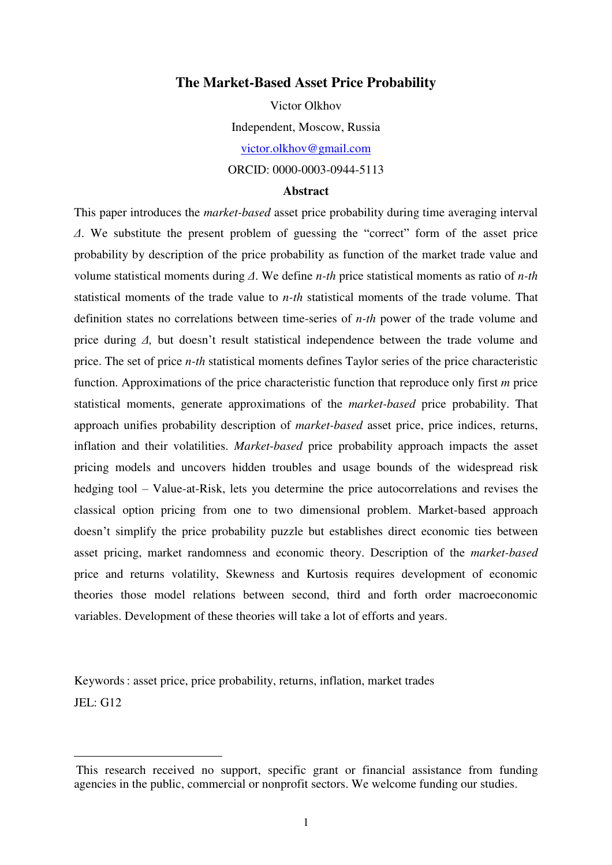### **The Market-Based Asset Price Probability**

Victor Olkhov Independent, Moscow, Russia [victor.olkhov@gmail.com](mailto:victor.olkhov@gmail.com)  ORCID: 0000-0003-0944-5113

#### **Abstract**

This paper introduces the *market-based* asset price probability during time averaging interval *Δ*. We substitute the present problem of guessing the "correct" form of the asset price probability by description of the price probability as function of the market trade value and volume statistical moments during *Δ*. We define *n-th* price statistical moments as ratio of *n-th* statistical moments of the trade value to *n-th* statistical moments of the trade volume. That definition states no correlations between time-series of *n-th* power of the trade volume and price during *Δ,* but doesn't result statistical independence between the trade volume and price. The set of price *n-th* statistical moments defines Taylor series of the price characteristic function. Approximations of the price characteristic function that reproduce only first *m* price statistical moments, generate approximations of the *market-based* price probability. That approach unifies probability description of *market-based* asset price, price indices, returns, inflation and their volatilities. *Market-based* price probability approach impacts the asset pricing models and uncovers hidden troubles and usage bounds of the widespread risk hedging tool – Value-at-Risk, lets you determine the price autocorrelations and revises the classical option pricing from one to two dimensional problem. Market-based approach doesn't simplify the price probability puzzle but establishes direct economic ties between asset pricing, market randomness and economic theory. Description of the *market-based* price and returns volatility, Skewness and Kurtosis requires development of economic theories those model relations between second, third and forth order macroeconomic variables. Development of these theories will take a lot of efforts and years.

Keywords: asset price, price probability, returns, inflation, market trades JEL: G12

 $\overline{a}$ 

This research received no support, specific grant or financial assistance from funding agencies in the public, commercial or nonprofit sectors. We welcome funding our studies.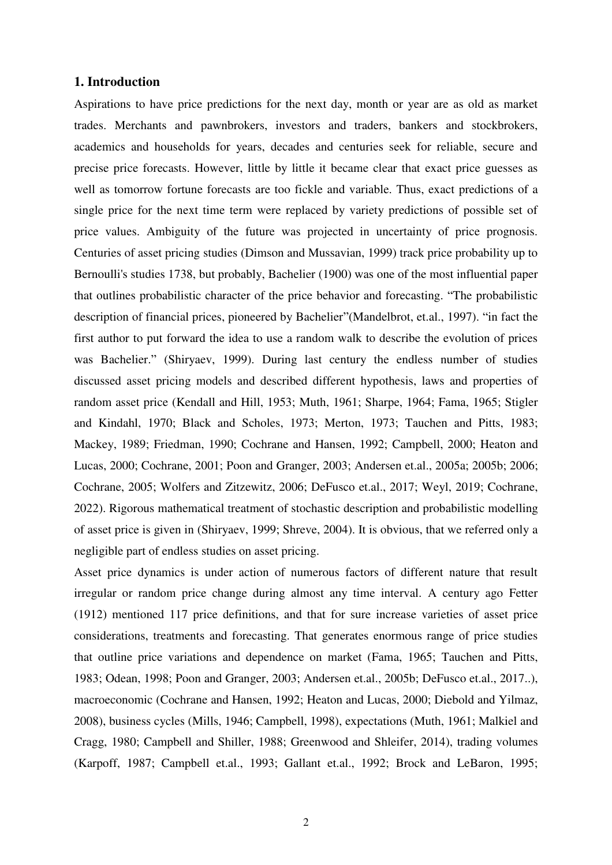# **1. Introduction**

Aspirations to have price predictions for the next day, month or year are as old as market trades. Merchants and pawnbrokers, investors and traders, bankers and stockbrokers, academics and households for years, decades and centuries seek for reliable, secure and precise price forecasts. However, little by little it became clear that exact price guesses as well as tomorrow fortune forecasts are too fickle and variable. Thus, exact predictions of a single price for the next time term were replaced by variety predictions of possible set of price values. Ambiguity of the future was projected in uncertainty of price prognosis. Centuries of asset pricing studies (Dimson and Mussavian, 1999) track price probability up to Bernoulli's studies 1738, but probably, Bachelier (1900) was one of the most influential paper that outlines probabilistic character of the price behavior and forecasting. "The probabilistic description of financial prices, pioneered by Bachelier"(Mandelbrot, et.al., 1997). "in fact the first author to put forward the idea to use a random walk to describe the evolution of prices was Bachelier." (Shiryaev, 1999). During last century the endless number of studies discussed asset pricing models and described different hypothesis, laws and properties of random asset price (Kendall and Hill, 1953; Muth, 1961; Sharpe, 1964; Fama, 1965; Stigler and Kindahl, 1970; Black and Scholes, 1973; Merton, 1973; Tauchen and Pitts, 1983; Mackey, 1989; Friedman, 1990; Cochrane and Hansen, 1992; Campbell, 2000; Heaton and Lucas, 2000; Cochrane, 2001; Poon and Granger, 2003; Andersen et.al., 2005a; 2005b; 2006; Cochrane, 2005; Wolfers and Zitzewitz, 2006; DeFusco et.al., 2017; Weyl, 2019; Cochrane, 2022). Rigorous mathematical treatment of stochastic description and probabilistic modelling of asset price is given in (Shiryaev, 1999; Shreve, 2004). It is obvious, that we referred only a negligible part of endless studies on asset pricing.

Asset price dynamics is under action of numerous factors of different nature that result irregular or random price change during almost any time interval. A century ago Fetter (1912) mentioned 117 price definitions, and that for sure increase varieties of asset price considerations, treatments and forecasting. That generates enormous range of price studies that outline price variations and dependence on market (Fama, 1965; Tauchen and Pitts, 1983; Odean, 1998; Poon and Granger, 2003; Andersen et.al., 2005b; DeFusco et.al., 2017..), macroeconomic (Cochrane and Hansen, 1992; Heaton and Lucas, 2000; Diebold and Yilmaz, 2008), business cycles (Mills, 1946; Campbell, 1998), expectations (Muth, 1961; Malkiel and Cragg, 1980; Campbell and Shiller, 1988; Greenwood and Shleifer, 2014), trading volumes (Karpoff, 1987; Campbell et.al., 1993; Gallant et.al., 1992; Brock and LeBaron, 1995;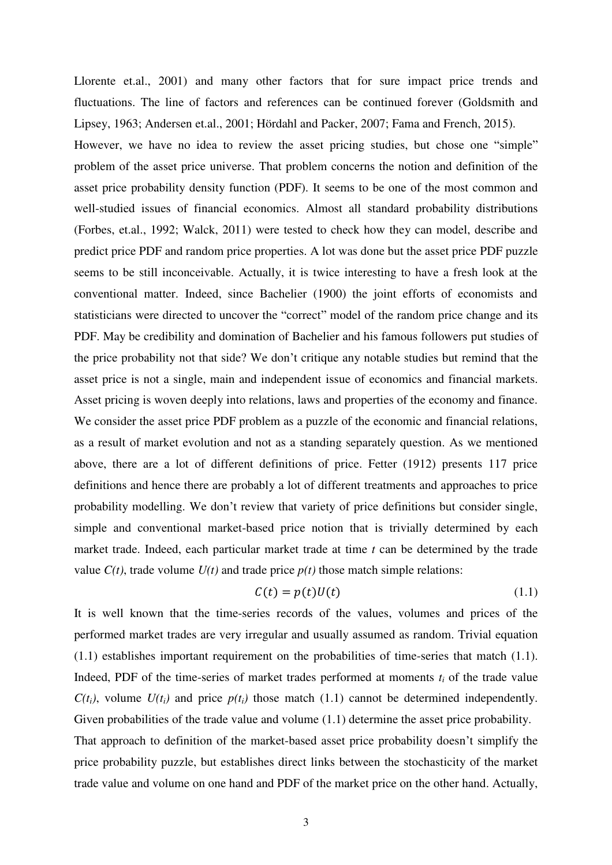Llorente et.al., 2001) and many other factors that for sure impact price trends and fluctuations. The line of factors and references can be continued forever (Goldsmith and Lipsey, 1963; Andersen et.al., 2001; Hördahl and Packer, 2007; Fama and French, 2015). However, we have no idea to review the asset pricing studies, but chose one "simple" problem of the asset price universe. That problem concerns the notion and definition of the asset price probability density function (PDF). It seems to be one of the most common and well-studied issues of financial economics. Almost all standard probability distributions (Forbes, et.al., 1992; Walck, 2011) were tested to check how they can model, describe and predict price PDF and random price properties. A lot was done but the asset price PDF puzzle seems to be still inconceivable. Actually, it is twice interesting to have a fresh look at the conventional matter. Indeed, since Bachelier (1900) the joint efforts of economists and statisticians were directed to uncover the "correct" model of the random price change and its PDF. May be credibility and domination of Bachelier and his famous followers put studies of the price probability not that side? We don't critique any notable studies but remind that the asset price is not a single, main and independent issue of economics and financial markets. Asset pricing is woven deeply into relations, laws and properties of the economy and finance. We consider the asset price PDF problem as a puzzle of the economic and financial relations, as a result of market evolution and not as a standing separately question. As we mentioned above, there are a lot of different definitions of price. Fetter (1912) presents 117 price definitions and hence there are probably a lot of different treatments and approaches to price probability modelling. We don't review that variety of price definitions but consider single, simple and conventional market-based price notion that is trivially determined by each market trade. Indeed, each particular market trade at time *t* can be determined by the trade value  $C(t)$ , trade volume  $U(t)$  and trade price  $p(t)$  those match simple relations:

$$
C(t) = p(t)U(t) \tag{1.1}
$$

It is well known that the time-series records of the values, volumes and prices of the performed market trades are very irregular and usually assumed as random. Trivial equation (1.1) establishes important requirement on the probabilities of time-series that match (1.1). Indeed, PDF of the time-series of market trades performed at moments  $t_i$  of the trade value  $C(t_i)$ , volume  $U(t_i)$  and price  $p(t_i)$  those match (1.1) cannot be determined independently. Given probabilities of the trade value and volume  $(1.1)$  determine the asset price probability. That approach to definition of the market-based asset price probability doesn't simplify the price probability puzzle, but establishes direct links between the stochasticity of the market trade value and volume on one hand and PDF of the market price on the other hand. Actually,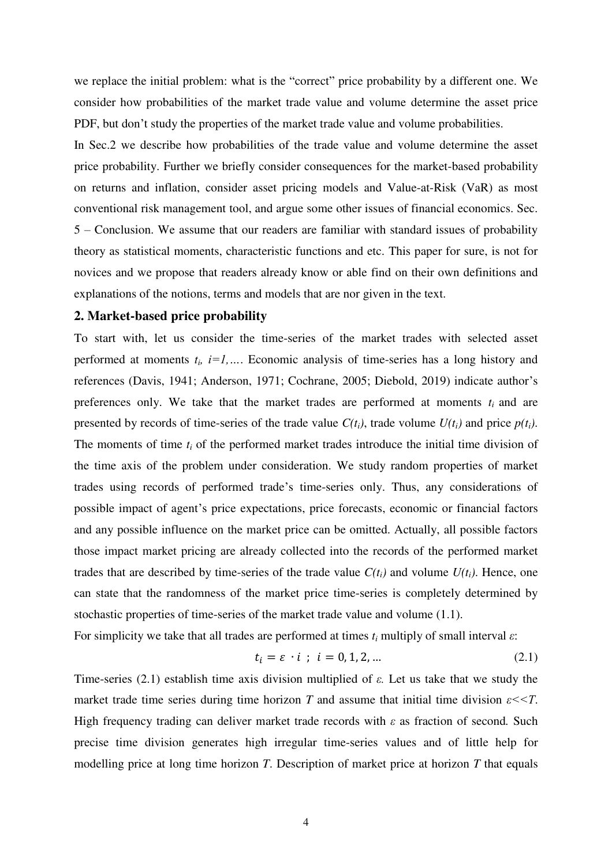we replace the initial problem: what is the "correct" price probability by a different one. We consider how probabilities of the market trade value and volume determine the asset price PDF, but don't study the properties of the market trade value and volume probabilities.

In Sec.2 we describe how probabilities of the trade value and volume determine the asset price probability. Further we briefly consider consequences for the market-based probability on returns and inflation, consider asset pricing models and Value-at-Risk (VaR) as most conventional risk management tool, and argue some other issues of financial economics. Sec. 5 – Conclusion. We assume that our readers are familiar with standard issues of probability theory as statistical moments, characteristic functions and etc. This paper for sure, is not for novices and we propose that readers already know or able find on their own definitions and explanations of the notions, terms and models that are nor given in the text.

### **2. Market-based price probability**

To start with, let us consider the time-series of the market trades with selected asset performed at moments  $t_i$ ,  $i=1,...$ . Economic analysis of time-series has a long history and references (Davis, 1941; Anderson, 1971; Cochrane, 2005; Diebold, 2019) indicate author's preferences only. We take that the market trades are performed at moments  $t_i$  and are presented by records of time-series of the trade value  $C(t_i)$ , trade volume  $U(t_i)$  and price  $p(t_i)$ . The moments of time  $t_i$  of the performed market trades introduce the initial time division of the time axis of the problem under consideration. We study random properties of market trades using records of performed trade's time-series only. Thus, any considerations of possible impact of agent's price expectations, price forecasts, economic or financial factors and any possible influence on the market price can be omitted. Actually, all possible factors those impact market pricing are already collected into the records of the performed market trades that are described by time-series of the trade value  $C(t_i)$  and volume  $U(t_i)$ . Hence, one can state that the randomness of the market price time-series is completely determined by stochastic properties of time-series of the market trade value and volume (1.1).

For simplicity we take that all trades are performed at times  $t_i$  multiply of small interval  $\varepsilon$ :

$$
t_i = \varepsilon \cdot i \; ; \; i = 0, 1, 2, \dots \tag{2.1}
$$

Time-series (2.1) establish time axis division multiplied of *ε.* Let us take that we study the market trade time series during time horizon *T* and assume that initial time division  $\varepsilon < 7$ . High frequency trading can deliver market trade records with *ε* as fraction of second*.* Such precise time division generates high irregular time-series values and of little help for modelling price at long time horizon *T*. Description of market price at horizon *T* that equals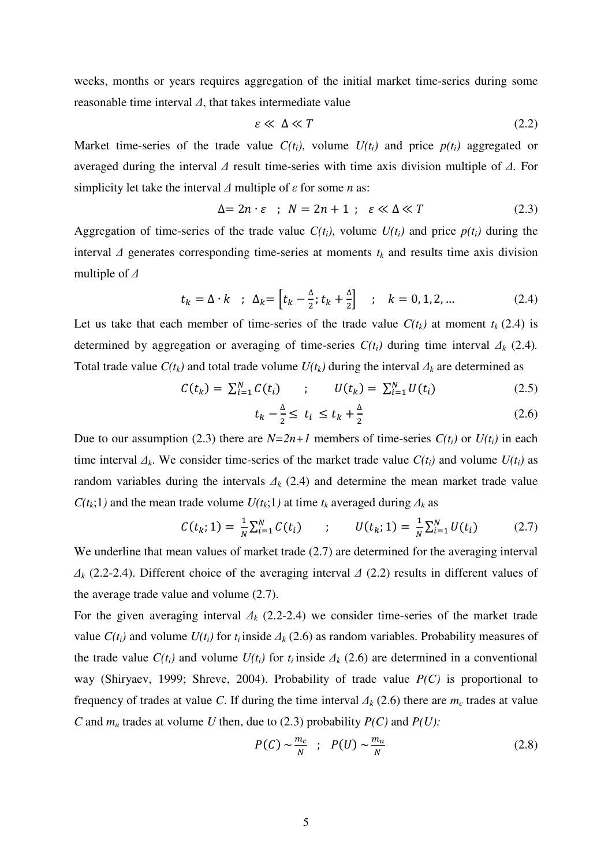weeks, months or years requires aggregation of the initial market time-series during some reasonable time interval *Δ*, that takes intermediate value

$$
\varepsilon \ll \Delta \ll T \tag{2.2}
$$

Market time-series of the trade value  $C(t_i)$ , volume  $U(t_i)$  and price  $p(t_i)$  aggregated or averaged during the interval *Δ* result time-series with time axis division multiple of *Δ.* For simplicity let take the interval *Δ* multiple of *ε* for some *n* as:

$$
\Delta = 2n \cdot \varepsilon \quad ; \quad N = 2n + 1 \quad ; \quad \varepsilon \ll \Delta \ll T \tag{2.3}
$$

Aggregation of time-series of the trade value  $C(t_i)$ , volume  $U(t_i)$  and price  $p(t_i)$  during the interval  $\Delta$  generates corresponding time-series at moments  $t_k$  and results time axis division multiple of *Δ*

$$
t_k = \Delta \cdot k \quad ; \ \ \Delta_k = \left[ t_k - \frac{\Delta}{2}; t_k + \frac{\Delta}{2} \right] \quad ; \quad k = 0, 1, 2, \dots \tag{2.4}
$$

Let us take that each member of time-series of the trade value  $C(t_k)$  at moment  $t_k$  (2.4) is determined by aggregation or averaging of time-series  $C(t_i)$  during time interval  $\Delta_k$  (2.4). Total trade value  $C(t_k)$  and total trade volume  $U(t_k)$  during the interval  $\Delta_k$  are determined as

$$
C(t_k) = \sum_{i=1}^{N} C(t_i) \qquad ; \qquad U(t_k) = \sum_{i=1}^{N} U(t_i) \tag{2.5}
$$

$$
t_k - \frac{\Delta}{2} \le t_i \le t_k + \frac{\Delta}{2} \tag{2.6}
$$

Due to our assumption (2.3) there are  $N=2n+1$  members of time-series  $C(t_i)$  or  $U(t_i)$  in each time interval  $\Delta_k$ . We consider time-series of the market trade value  $C(t_i)$  and volume  $U(t_i)$  as random variables during the intervals  $\Delta_k$  (2.4) and determine the mean market trade value  $C(t_k;1)$  and the mean trade volume  $U(t_k;1)$  at time  $t_k$  averaged during  $\Delta_k$  as

$$
C(t_k; 1) = \frac{1}{N} \sum_{i=1}^{N} C(t_i) \qquad ; \qquad U(t_k; 1) = \frac{1}{N} \sum_{i=1}^{N} U(t_i) \tag{2.7}
$$

We underline that mean values of market trade  $(2.7)$  are determined for the averaging interval *Δk* (2.2-2.4). Different choice of the averaging interval *Δ* (2.2) results in different values of the average trade value and volume (2.7).

For the given averaging interval  $\Delta_k$  (2.2-2.4) we consider time-series of the market trade value  $C(t_i)$  and volume  $U(t_i)$  for  $t_i$  inside  $\Delta_k$  (2.6) as random variables. Probability measures of the trade value  $C(t_i)$  and volume  $U(t_i)$  for  $t_i$  inside  $\Delta_k$  (2.6) are determined in a conventional way (Shiryaev, 1999; Shreve, 2004). Probability of trade value *P(C)* is proportional to frequency of trades at value *C*. If during the time interval  $\Delta_k$  (2.6) there are  $m_c$  trades at value *C* and *mu* trades at volume *U* then, due to (2.3) probability *P(C)* and *P(U):*

$$
P(C) \sim \frac{m_c}{N} \quad ; \quad P(U) \sim \frac{m_u}{N} \tag{2.8}
$$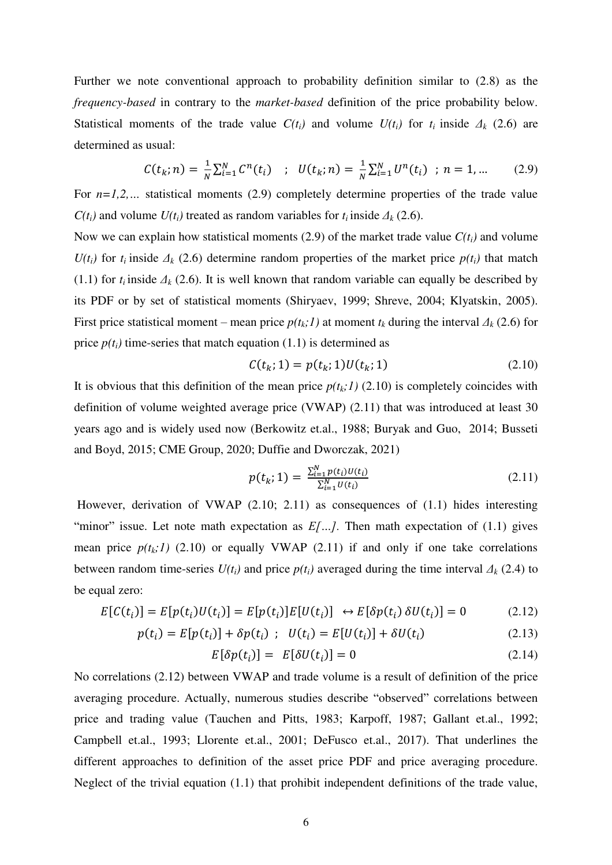Further we note conventional approach to probability definition similar to (2.8) as the *frequency-based* in contrary to the *market-based* definition of the price probability below. Statistical moments of the trade value  $C(t_i)$  and volume  $U(t_i)$  for  $t_i$  inside  $\Delta_k$  (2.6) are determined as usual:

$$
C(t_k; n) = \frac{1}{N} \sum_{i=1}^{N} C^n(t_i) \quad ; \quad U(t_k; n) = \frac{1}{N} \sum_{i=1}^{N} U^n(t_i) \quad ; \ n = 1, \dots \tag{2.9}
$$

For  $n=1,2,...$  statistical moments (2.9) completely determine properties of the trade value  $C(t_i)$  and volume  $U(t_i)$  treated as random variables for  $t_i$  inside  $\Delta_k$  (2.6).

Now we can explain how statistical moments (2.9) of the market trade value  $C(t_i)$  and volume *U(t<sub>i</sub>*) for  $t_i$  inside  $\Delta_k$  (2.6) determine random properties of the market price  $p(t_i)$  that match (1.1) for  $t_i$  inside  $\Delta_k$  (2.6). It is well known that random variable can equally be described by its PDF or by set of statistical moments (Shiryaev, 1999; Shreve, 2004; Klyatskin, 2005). First price statistical moment – mean price  $p(t_k;1)$  at moment  $t_k$  during the interval  $\Delta_k$  (2.6) for price  $p(t_i)$  time-series that match equation (1.1) is determined as

$$
C(t_k; 1) = p(t_k; 1)U(t_k; 1)
$$
\n(2.10)

It is obvious that this definition of the mean price  $p(t_k;1)$  (2.10) is completely coincides with definition of volume weighted average price (VWAP) (2.11) that was introduced at least 30 years ago and is widely used now (Berkowitz et.al., 1988; Buryak and Guo, 2014; Busseti and Boyd, 2015; CME Group, 2020; Duffie and Dworczak, 2021)

$$
p(t_k; 1) = \frac{\sum_{i=1}^{N} p(t_i)U(t_i)}{\sum_{i=1}^{N} U(t_i)}
$$
\n(2.11)

 However, derivation of VWAP (2.10; 2.11) as consequences of (1.1) hides interesting "minor" issue. Let note math expectation as  $E[\dots]$ . Then math expectation of (1.1) gives mean price  $p(t_k; l)$  (2.10) or equally VWAP (2.11) if and only if one take correlations between random time-series  $U(t_i)$  and price  $p(t_i)$  averaged during the time interval  $\Delta_k$  (2.4) to be equal zero:

$$
E[C(t_i)] = E[p(t_i)U(t_i)] = E[p(t_i)]E[U(t_i)] \leftrightarrow E[\delta p(t_i) \delta U(t_i)] = 0 \qquad (2.12)
$$

$$
p(t_i) = E[p(t_i)] + \delta p(t_i) \; ; \; U(t_i) = E[U(t_i)] + \delta U(t_i) \tag{2.13}
$$

$$
E[\delta p(t_i)] = E[\delta U(t_i)] = 0 \qquad (2.14)
$$

No correlations (2.12) between VWAP and trade volume is a result of definition of the price averaging procedure. Actually, numerous studies describe "observed" correlations between price and trading value (Tauchen and Pitts, 1983; Karpoff, 1987; Gallant et.al., 1992; Campbell et.al., 1993; Llorente et.al., 2001; DeFusco et.al., 2017). That underlines the different approaches to definition of the asset price PDF and price averaging procedure. Neglect of the trivial equation (1.1) that prohibit independent definitions of the trade value,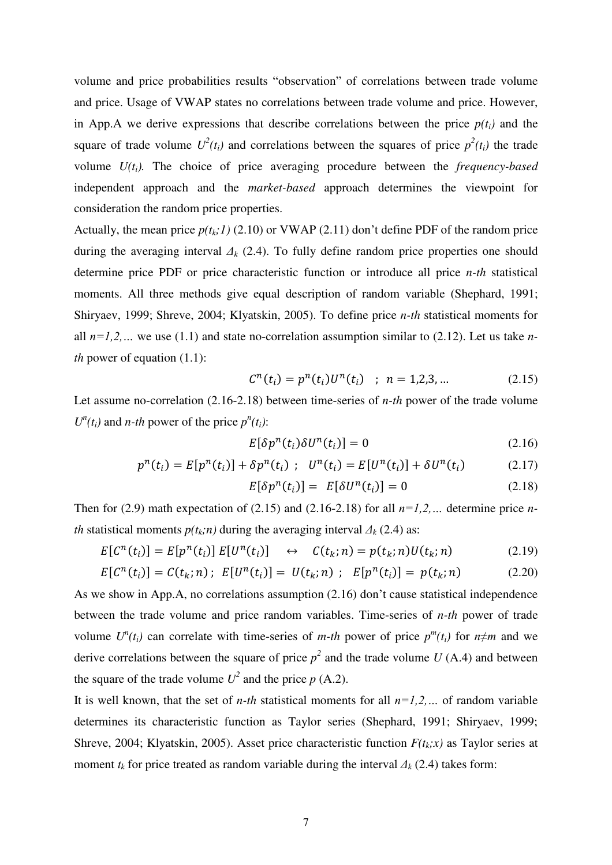volume and price probabilities results "observation" of correlations between trade volume and price. Usage of VWAP states no correlations between trade volume and price. However, in App.A we derive expressions that describe correlations between the price  $p(t_i)$  and the square of trade volume  $U^2(t_i)$  and correlations between the squares of price  $p^2(t_i)$  the trade volume *U(ti).* The choice of price averaging procedure between the *frequency-based* independent approach and the *market-based* approach determines the viewpoint for consideration the random price properties.

Actually, the mean price  $p(t_k;1)$  (2.10) or VWAP (2.11) don't define PDF of the random price during the averaging interval *Δk* (2.4). To fully define random price properties one should determine price PDF or price characteristic function or introduce all price *n-th* statistical moments. All three methods give equal description of random variable (Shephard, 1991; Shiryaev, 1999; Shreve, 2004; Klyatskin, 2005). To define price *n-th* statistical moments for all  $n=1,2,...$  we use (1.1) and state no-correlation assumption similar to (2.12). Let us take *nth* power of equation (1.1):

$$
C^{n}(t_{i}) = p^{n}(t_{i})U^{n}(t_{i}) \quad ; \quad n = 1, 2, 3, ... \tag{2.15}
$$

Let assume no-correlation (2.16-2.18) between time-series of *n-th* power of the trade volume *U<sup>n</sup>*(*t*<sub>*i*</sub>)</sub> and *n-th* power of the price  $p^n(t_i)$ :

$$
E[\delta p^n(t_i)\delta U^n(t_i)] = 0 \tag{2.16}
$$

$$
p^{n}(t_{i}) = E[p^{n}(t_{i})] + \delta p^{n}(t_{i}) \ ; \ U^{n}(t_{i}) = E[U^{n}(t_{i})] + \delta U^{n}(t_{i}) \qquad (2.17)
$$

$$
E[\delta p^n(t_i)] = E[\delta U^n(t_i)] = 0 \qquad (2.18)
$$

Then for (2.9) math expectation of (2.15) and (2.16-2.18) for all  $n=1,2,...$  determine price  $n$ *th* statistical moments  $p(t_k; n)$  during the averaging interval  $\Delta_k$  (2.4) as:

$$
E[C^{n}(t_{i})] = E[p^{n}(t_{i})] E[U^{n}(t_{i})] \quad \leftrightarrow \quad C(t_{k}; n) = p(t_{k}; n)U(t_{k}; n) \tag{2.19}
$$

$$
E[C^{n}(t_{i})] = C(t_{k}; n); E[U^{n}(t_{i})] = U(t_{k}; n); E[p^{n}(t_{i})] = p(t_{k}; n)
$$
\n(2.20)

As we show in App.A, no correlations assumption (2.16) don't cause statistical independence between the trade volume and price random variables. Time-series of *n-th* power of trade volume  $U^n(t_i)$  can correlate with time-series of *m-th* power of price  $p^m(t_i)$  for  $n \neq m$  and we derive correlations between the square of price  $p^2$  and the trade volume  $U(A.4)$  and between the square of the trade volume  $U^2$  and the price  $p$  (A.2).

It is well known, that the set of *n-th* statistical moments for all  $n=1,2,...$  of random variable determines its characteristic function as Taylor series (Shephard, 1991; Shiryaev, 1999; Shreve, 2004; Klyatskin, 2005). Asset price characteristic function *F(tk;x)* as Taylor series at moment  $t_k$  for price treated as random variable during the interval  $\Delta_k$  (2.4) takes form: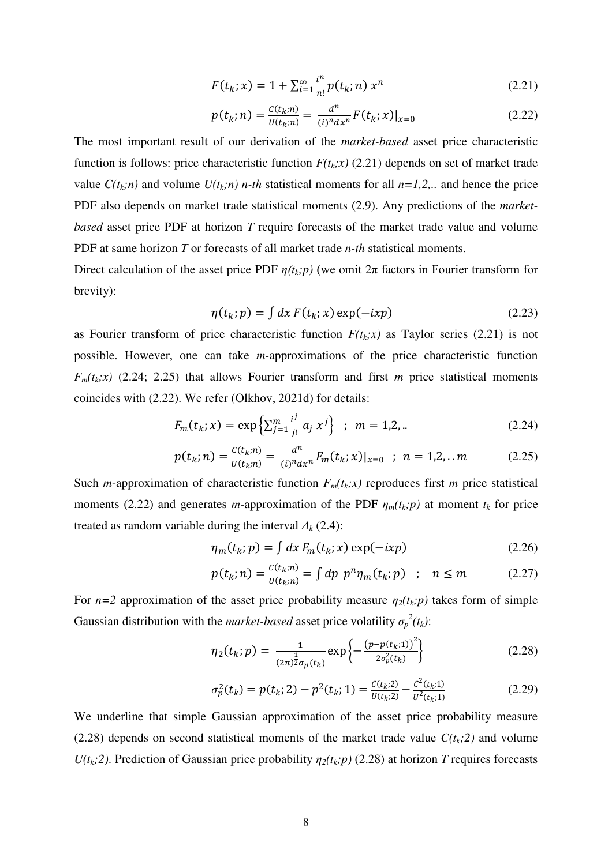$$
F(t_k; x) = 1 + \sum_{i=1}^{\infty} \frac{i^n}{n!} p(t_k; n) x^n
$$
 (2.21)

$$
p(t_k; n) = \frac{c(t_k; n)}{U(t_k; n)} = \frac{d^n}{(i)^n dx^n} F(t_k; x)|_{x=0}
$$
\n(2.22)

The most important result of our derivation of the *market-based* asset price characteristic function is follows: price characteristic function  $F(t_k; x)$  (2.21) depends on set of market trade value  $C(t_k; n)$  and volume  $U(t_k; n)$  *n-th* statistical moments for all  $n=1,2, ...$  and hence the price PDF also depends on market trade statistical moments (2.9). Any predictions of the *marketbased* asset price PDF at horizon *T* require forecasts of the market trade value and volume PDF at same horizon *T* or forecasts of all market trade *n-th* statistical moments.

Direct calculation of the asset price PDF  $\eta(t_k, p)$  (we omit  $2\pi$  factors in Fourier transform for brevity):

$$
\eta(t_k; p) = \int dx F(t_k; x) \exp(-ixp)
$$
\n(2.23)

as Fourier transform of price characteristic function  $F(t_k; x)$  as Taylor series (2.21) is not possible. However, one can take *m-*approximations of the price characteristic function  $F_m(t_k; x)$  (2.24; 2.25) that allows Fourier transform and first *m* price statistical moments coincides with (2.22). We refer (Olkhov, 2021d) for details:

$$
F_m(t_k; x) = \exp\left\{\sum_{j=1}^m \frac{i^j}{j!} a_j x^j\right\} \; ; \; m = 1, 2, \dots \tag{2.24}
$$

$$
p(t_k; n) = \frac{c(t_k; n)}{U(t_k; n)} = \frac{d^n}{(i)^n dx^n} F_m(t_k; x)|_{x=0} \quad ; \quad n = 1, 2, ...m \tag{2.25}
$$

Such *m*-approximation of characteristic function  $F_m(t_k; x)$  reproduces first *m* price statistical moments (2.22) and generates *m*-approximation of the PDF  $\eta_m(t_k; p)$  at moment  $t_k$  for price treated as random variable during the interval  $\Delta_k$  (2.4):

$$
\eta_m(t_k; p) = \int dx F_m(t_k; x) \exp(-ixp)
$$
\n(2.26)

$$
p(t_k; n) = \frac{c(t_k; n)}{U(t_k; n)} = \int dp \ p^n \eta_m(t_k; p) \quad ; \quad n \le m \tag{2.27}
$$

For  $n=2$  approximation of the asset price probability measure  $\eta_2(t_k; p)$  takes form of simple Gaussian distribution with the *market-based* asset price volatility  $\sigma_p^2(t_k)$ :

$$
\eta_2(t_k; p) = \frac{1}{(2\pi)^{\frac{1}{2}} \sigma_p(t_k)} \exp\left\{-\frac{\left(p - p(t_k; 1)\right)^2}{2\sigma_p^2(t_k)}\right\} \tag{2.28}
$$

$$
\sigma_p^2(t_k) = p(t_k; 2) - p^2(t_k; 1) = \frac{c(t_k; 2)}{U(t_k; 2)} - \frac{c^2(t_k; 1)}{U^2(t_k; 1)}
$$
(2.29)

We underline that simple Gaussian approximation of the asset price probability measure (2.28) depends on second statistical moments of the market trade value  $C(t_k;2)$  and volume *U*( $t_k$ ;2). Prediction of Gaussian price probability  $η_2(t_k; p)$  (2.28) at horizon *T* requires forecasts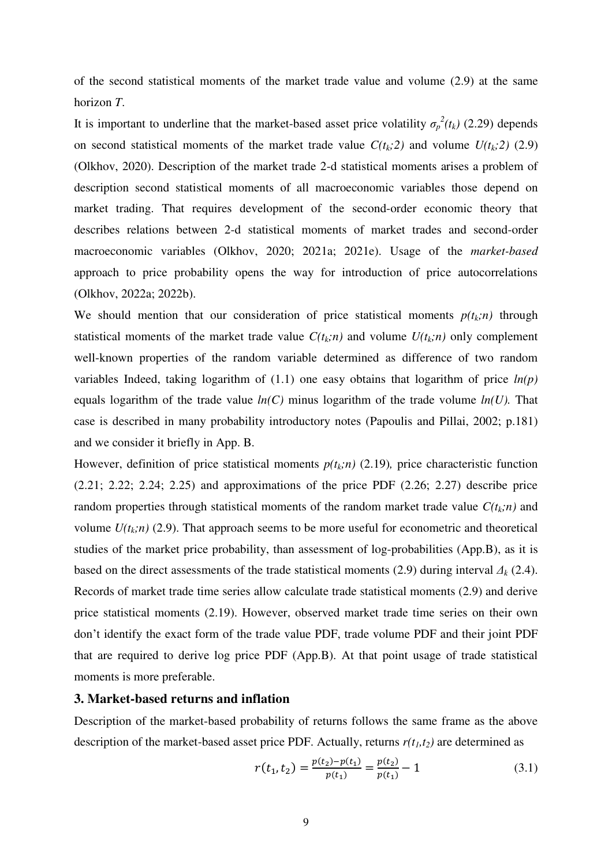of the second statistical moments of the market trade value and volume (2.9) at the same horizon *T*.

It is important to underline that the market-based asset price volatility  $\sigma_p^2(t_k)$  (2.29) depends on second statistical moments of the market trade value  $C(t_k;2)$  and volume  $U(t_k;2)$  (2.9) (Olkhov, 2020). Description of the market trade 2-d statistical moments arises a problem of description second statistical moments of all macroeconomic variables those depend on market trading. That requires development of the second-order economic theory that describes relations between 2-d statistical moments of market trades and second-order macroeconomic variables (Olkhov, 2020; 2021a; 2021e). Usage of the *market-based* approach to price probability opens the way for introduction of price autocorrelations (Olkhov, 2022a; 2022b).

We should mention that our consideration of price statistical moments  $p(t_k; n)$  through statistical moments of the market trade value  $C(t_k; n)$  and volume  $U(t_k; n)$  only complement well-known properties of the random variable determined as difference of two random variables Indeed, taking logarithm of (1.1) one easy obtains that logarithm of price *ln(p)*  equals logarithm of the trade value *ln(C)* minus logarithm of the trade volume *ln(U).* That case is described in many probability introductory notes (Papoulis and Pillai, 2002; p.181) and we consider it briefly in App. B.

However, definition of price statistical moments  $p(t_k; n)$  (2.19), price characteristic function (2.21; 2.22; 2.24; 2.25) and approximations of the price PDF (2.26; 2.27) describe price random properties through statistical moments of the random market trade value  $C(t_k; n)$  and volume  $U(t_k; n)$  (2.9). That approach seems to be more useful for econometric and theoretical studies of the market price probability, than assessment of log-probabilities (App.B), as it is based on the direct assessments of the trade statistical moments (2.9) during interval  $\Delta_k$  (2.4). Records of market trade time series allow calculate trade statistical moments (2.9) and derive price statistical moments (2.19). However, observed market trade time series on their own don't identify the exact form of the trade value PDF, trade volume PDF and their joint PDF that are required to derive log price PDF (App.B). At that point usage of trade statistical moments is more preferable.

### **3. Market-based returns and inflation**

Description of the market-based probability of returns follows the same frame as the above description of the market-based asset price PDF. Actually, returns  $r(t_1, t_2)$  are determined as

$$
r(t_1, t_2) = \frac{p(t_2) - p(t_1)}{p(t_1)} = \frac{p(t_2)}{p(t_1)} - 1
$$
\n(3.1)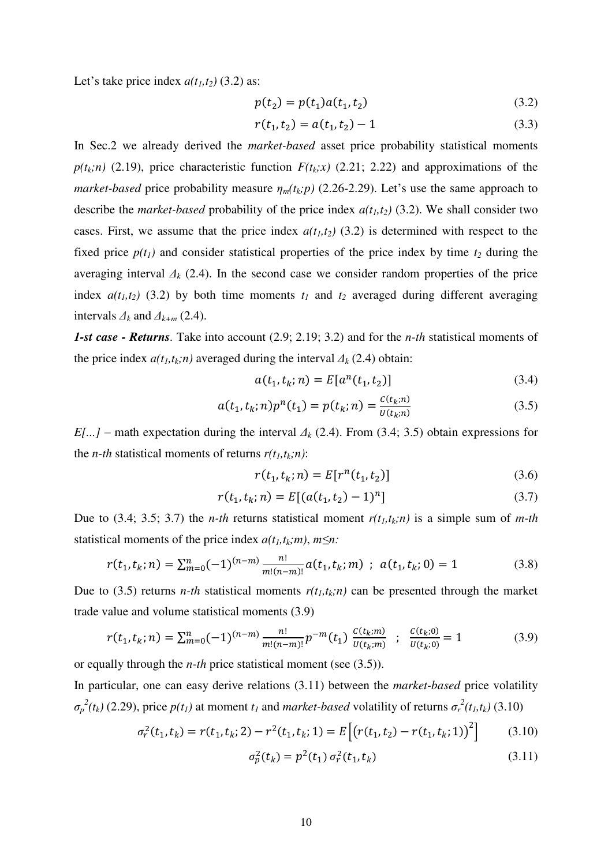Let's take price index  $a(t_1, t_2)$  (3.2) as:

$$
p(t_2) = p(t_1)a(t_1, t_2)
$$
\n(3.2)

$$
r(t_1, t_2) = a(t_1, t_2) - 1 \tag{3.3}
$$

In Sec.2 we already derived the *market-based* asset price probability statistical moments  $p(t_k; n)$  (2.19), price characteristic function  $F(t_k; x)$  (2.21; 2.22) and approximations of the *market-based* price probability measure  $\eta_m(t_k; p)$  (2.26-2.29). Let's use the same approach to describe the *market-based* probability of the price index  $a(t_1, t_2)$  (3.2). We shall consider two cases. First, we assume that the price index  $a(t_1, t_2)$  (3.2) is determined with respect to the fixed price  $p(t_1)$  and consider statistical properties of the price index by time  $t_2$  during the averaging interval  $\Delta_k$  (2.4). In the second case we consider random properties of the price index  $a(t_1, t_2)$  (3.2) by both time moments  $t_1$  and  $t_2$  averaged during different averaging intervals  $\Delta_k$  and  $\Delta_{k+m}$  (2.4).

*1-st case - Returns.* Take into account (2.9; 2.19; 3.2) and for the *n-th* statistical moments of the price index  $a(t_1, t_k; n)$  averaged during the interval  $\Delta_k$  (2.4) obtain:

$$
a(t_1, t_k; n) = E[a^n(t_1, t_2)]
$$
\n(3.4)

$$
a(t_1, t_k; n)p^{n}(t_1) = p(t_k; n) = \frac{c(t_k; n)}{U(t_k; n)}
$$
\n(3.5)

*E[...]* – math expectation during the interval *Δk* (2.4). From (3.4; 3.5) obtain expressions for the *n*-th statistical moments of returns  $r(t_1, t_k; n)$ :

$$
r(t_1, t_k; n) = E[r^n(t_1, t_2)]
$$
\n(3.6)

$$
r(t_1, t_k; n) = E[(a(t_1, t_2) - 1)^n]
$$
\n(3.7)

Due to  $(3.4; 3.5; 3.7)$  the *n-th* returns statistical moment  $r(t_1, t_k; n)$  is a simple sum of *m-th* statistical moments of the price index  $a(t_1, t_k; m)$ ,  $m \leq n$ .

$$
r(t_1, t_k; n) = \sum_{m=0}^{n} (-1)^{(n-m)} \frac{n!}{m!(n-m)!} a(t_1, t_k; m) \; ; \; a(t_1, t_k; 0) = 1 \tag{3.8}
$$

Due to (3.5) returns *n-th* statistical moments  $r(t_1, t_k; n)$  can be presented through the market trade value and volume statistical moments (3.9)

$$
r(t_1, t_k; n) = \sum_{m=0}^{n} (-1)^{(n-m)} \frac{n!}{m!(n-m)!} p^{-m}(t_1) \frac{c(t_k; m)}{U(t_k; m)} \; ; \; \frac{c(t_k; 0)}{U(t_k; 0)} = 1 \tag{3.9}
$$

or equally through the *n-th* price statistical moment (see (3.5)).

In particular, one can easy derive relations (3.11) between the *market-based* price volatility  $\sigma_p^2(t_k)$  (2.29), price  $p(t_l)$  at moment  $t_l$  and *market-based* volatility of returns  $\sigma_r^2(t_l,t_k)$  (3.10)

$$
\sigma_r^2(t_1, t_k) = r(t_1, t_k; 2) - r^2(t_1, t_k; 1) = E\left[\left(r(t_1, t_2) - r(t_1, t_k; 1)\right)^2\right] \tag{3.10}
$$

$$
\sigma_p^2(t_k) = p^2(t_1) \sigma_r^2(t_1, t_k)
$$
\n(3.11)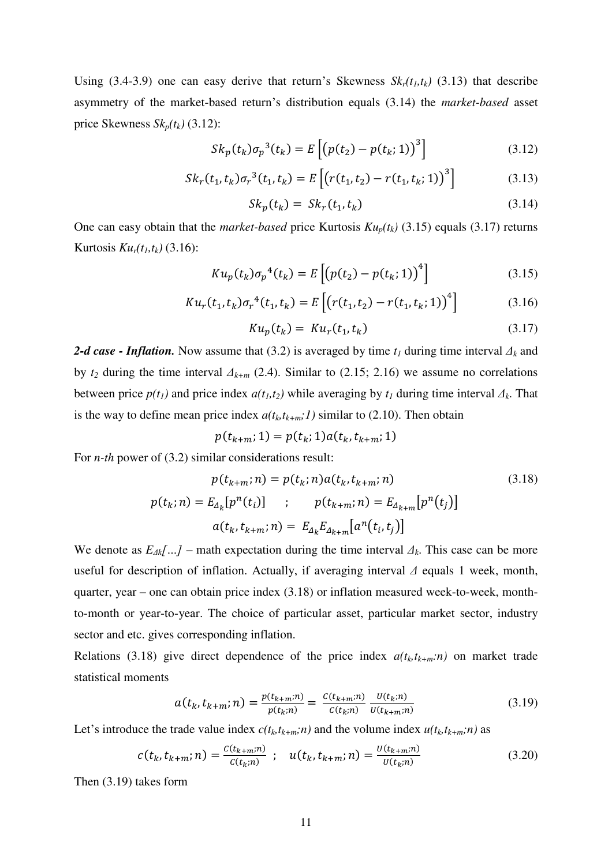Using (3.4-3.9) one can easy derive that return's Skewness  $Sk_r(t_1, t_k)$  (3.13) that describe asymmetry of the market-based return's distribution equals (3.14) the *market-based* asset price Skewness  $Sk_p(t_k)$  (3.12):

$$
Sk_p(t_k)\sigma_p^3(t_k) = E\left[\left(p(t_2) - p(t_k; 1)\right)^3\right]
$$
\n(3.12)

$$
Sk_r(t_1, t_k)\sigma_r^3(t_1, t_k) = E\left[\left(r(t_1, t_2) - r(t_1, t_k; 1)\right)^3\right]
$$
\n(3.13)

$$
Sk_p(t_k) = Sk_r(t_1, t_k)
$$
\n(3.14)

One can easy obtain that the *market-based* price Kurtosis  $Ku_p(t_k)$  (3.15) equals (3.17) returns **Kurtosis**  $Ku_r(t_1, t_k)$  (3.16):

$$
K u_p(t_k) \sigma_p^{4}(t_k) = E \left[ \left( p(t_2) - p(t_k; 1) \right)^{4} \right]
$$
 (3.15)

$$
K u_r(t_1, t_k) \sigma_r^{4}(t_1, t_k) = E\left[\left(r(t_1, t_2) - r(t_1, t_k; 1)\right)^{4}\right]
$$
(3.16)

$$
Ku_p(t_k) = Ku_r(t_1, t_k)
$$
\n(3.17)

*2-d case - Inflation.* Now assume that (3.2) is averaged by time *t<sup>1</sup>* during time interval *Δk* and by *t2* during the time interval *Δk+m* (2.4). Similar to (2.15; 2.16) we assume no correlations between price  $p(t_1)$  and price index  $a(t_1, t_2)$  while averaging by  $t_1$  during time interval  $\Delta_k$ . That is the way to define mean price index  $a(t_k, t_{k+m};1)$  similar to (2.10). Then obtain

$$
p(t_{k+m}; 1) = p(t_k; 1) a(t_k, t_{k+m}; 1)
$$

For *n-th* power of (3.2) similar considerations result:

$$
p(t_{k+m}; n) = p(t_k; n) a(t_k, t_{k+m}; n)
$$
\n(3.18)  
\n
$$
p(t_k; n) = E_{\Delta_k}[p^n(t_i)] \quad ; \quad p(t_{k+m}; n) = E_{\Delta_{k+m}}[p^n(t_j)]
$$
\n
$$
a(t_k, t_{k+m}; n) = E_{\Delta_k} E_{\Delta_{k+m}}[a^n(t_i, t_j)]
$$

We denote as  $E_{\Delta k}$ […] – math expectation during the time interval  $\Delta_k$ . This case can be more useful for description of inflation. Actually, if averaging interval *Δ* equals 1 week, month, quarter, year – one can obtain price index (3.18) or inflation measured week-to-week, monthto-month or year-to-year. The choice of particular asset, particular market sector, industry sector and etc. gives corresponding inflation.

Relations (3.18) give direct dependence of the price index  $a(t_k,t_{k+m}:n)$  on market trade statistical moments

$$
a(t_k, t_{k+m}; n) = \frac{p(t_{k+m}; n)}{p(t_k; n)} = \frac{c(t_{k+m}; n)}{c(t_k; n)} \frac{U(t_k; n)}{U(t_{k+m}; n)}
$$
(3.19)

Let's introduce the trade value index  $c(t_k t_{k+m}; n)$  and the volume index  $u(t_k t_{k+m}; n)$  as

$$
c(t_k, t_{k+m}; n) = \frac{c(t_{k+m}; n)}{c(t_k; n)} \; ; \quad u(t_k, t_{k+m}; n) = \frac{v(t_{k+m}; n)}{v(t_k; n)} \tag{3.20}
$$

Then (3.19) takes form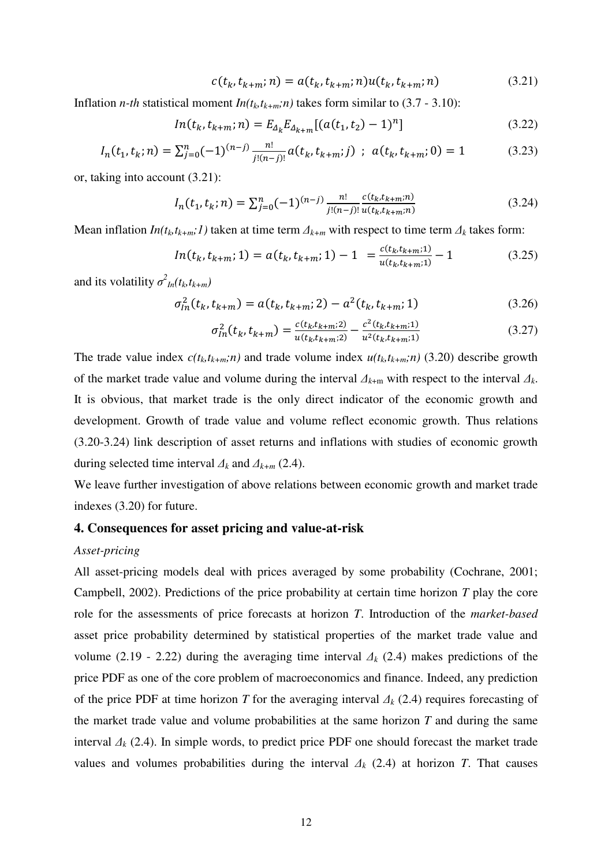$$
c(t_k, t_{k+m}; n) = a(t_k, t_{k+m}; n)u(t_k, t_{k+m}; n)
$$
\n(3.21)

Inflation *n-th* statistical moment  $In(t_k, t_{k+m};n)$  takes form similar to (3.7 - 3.10):

$$
ln(t_k, t_{k+m}; n) = E_{\Delta_k} E_{\Delta_{k+m}} [(a(t_1, t_2) - 1)^n]
$$
\n(3.22)

$$
I_n(t_1, t_k; n) = \sum_{j=0}^n (-1)^{(n-j)} \frac{n!}{j!(n-j)!} a(t_k, t_{k+m}; j) \; ; \; a(t_k, t_{k+m}; 0) = 1 \tag{3.23}
$$

or, taking into account (3.21):

$$
I_n(t_1, t_k; n) = \sum_{j=0}^n (-1)^{(n-j)} \frac{n!}{j!(n-j)!} \frac{c(t_k, t_{k+m}; n)}{u(t_k, t_{k+m}; n)}
$$
(3.24)

Mean inflation  $In(t_k,t_{k+m};1)$  taken at time term  $\Delta_{k+m}$  with respect to time term  $\Delta_k$  takes form:

$$
ln(t_k, t_{k+m}; 1) = a(t_k, t_{k+m}; 1) - 1 = \frac{c(t_k, t_{k+m}; 1)}{u(t_k, t_{k+m}; 1)} - 1
$$
\n(3.25)

and its volatility  $\sigma_{In}^2(t_k,t_{k+m})$ 

$$
\sigma_{ln}^2(t_k, t_{k+m}) = a(t_k, t_{k+m}; 2) - a^2(t_k, t_{k+m}; 1)
$$
\n(3.26)

$$
\sigma_{ln}^2(t_k, t_{k+m}) = \frac{c(t_k, t_{k+m}; 2)}{u(t_k, t_{k+m}; 2)} - \frac{c^2(t_k, t_{k+m}; 1)}{u^2(t_k, t_{k+m}; 1)}
$$
(3.27)

The trade value index  $c(t_k, t_{k+m};n)$  and trade volume index  $u(t_k, t_{k+m};n)$  (3.20) describe growth of the market trade value and volume during the interval *Δk*+m with respect to the interval *Δk*. It is obvious, that market trade is the only direct indicator of the economic growth and development. Growth of trade value and volume reflect economic growth. Thus relations (3.20-3.24) link description of asset returns and inflations with studies of economic growth during selected time interval  $\Delta_k$  and  $\Delta_{k+m}$  (2.4).

We leave further investigation of above relations between economic growth and market trade indexes (3.20) for future.

### **4. Consequences for asset pricing and value-at-risk**

#### *Asset-pricing*

All asset-pricing models deal with prices averaged by some probability (Cochrane, 2001; Campbell, 2002). Predictions of the price probability at certain time horizon *T* play the core role for the assessments of price forecasts at horizon *T*. Introduction of the *market-based* asset price probability determined by statistical properties of the market trade value and volume (2.19 - 2.22) during the averaging time interval *Δk* (2.4) makes predictions of the price PDF as one of the core problem of macroeconomics and finance. Indeed, any prediction of the price PDF at time horizon *T* for the averaging interval *Δk* (2.4) requires forecasting of the market trade value and volume probabilities at the same horizon *T* and during the same interval  $\Delta_k$  (2.4). In simple words, to predict price PDF one should forecast the market trade values and volumes probabilities during the interval  $\Delta_k$  (2.4) at horizon *T*. That causes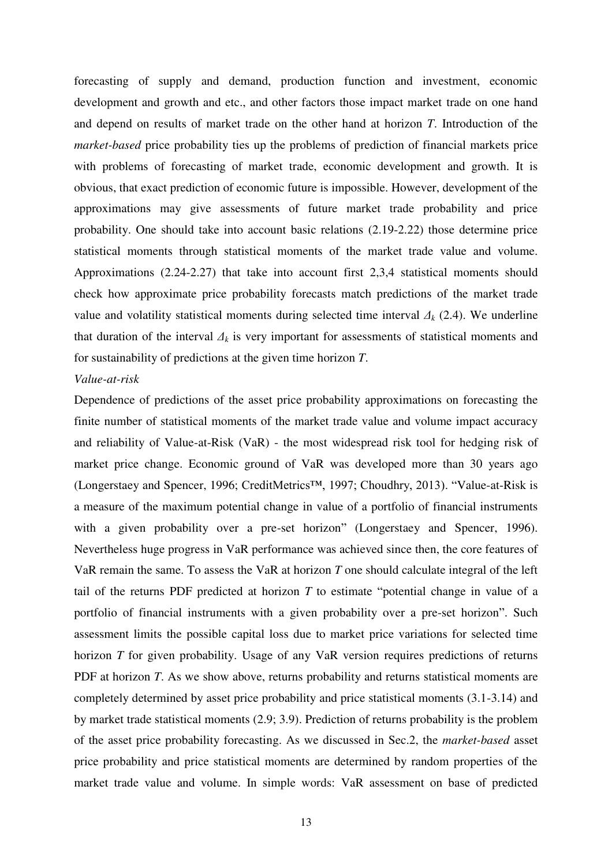forecasting of supply and demand, production function and investment, economic development and growth and etc., and other factors those impact market trade on one hand and depend on results of market trade on the other hand at horizon *T*. Introduction of the *market-based* price probability ties up the problems of prediction of financial markets price with problems of forecasting of market trade, economic development and growth. It is obvious, that exact prediction of economic future is impossible. However, development of the approximations may give assessments of future market trade probability and price probability. One should take into account basic relations (2.19-2.22) those determine price statistical moments through statistical moments of the market trade value and volume. Approximations (2.24-2.27) that take into account first 2,3,4 statistical moments should check how approximate price probability forecasts match predictions of the market trade value and volatility statistical moments during selected time interval  $\Delta_k$  (2.4). We underline that duration of the interval  $\Delta_k$  is very important for assessments of statistical moments and for sustainability of predictions at the given time horizon *T*.

### *Value-at-risk*

Dependence of predictions of the asset price probability approximations on forecasting the finite number of statistical moments of the market trade value and volume impact accuracy and reliability of Value-at-Risk (VaR) - the most widespread risk tool for hedging risk of market price change. Economic ground of VaR was developed more than 30 years ago (Longerstaey and Spencer, 1996; CreditMetrics™, 1997; Choudhry, 2013). "Value-at-Risk is a measure of the maximum potential change in value of a portfolio of financial instruments with a given probability over a pre-set horizon" (Longerstaey and Spencer, 1996). Nevertheless huge progress in VaR performance was achieved since then, the core features of VaR remain the same. To assess the VaR at horizon *T* one should calculate integral of the left tail of the returns PDF predicted at horizon *T* to estimate "potential change in value of a portfolio of financial instruments with a given probability over a pre-set horizon". Such assessment limits the possible capital loss due to market price variations for selected time horizon *T* for given probability. Usage of any VaR version requires predictions of returns PDF at horizon *T*. As we show above, returns probability and returns statistical moments are completely determined by asset price probability and price statistical moments (3.1-3.14) and by market trade statistical moments (2.9; 3.9). Prediction of returns probability is the problem of the asset price probability forecasting. As we discussed in Sec.2, the *market-based* asset price probability and price statistical moments are determined by random properties of the market trade value and volume. In simple words: VaR assessment on base of predicted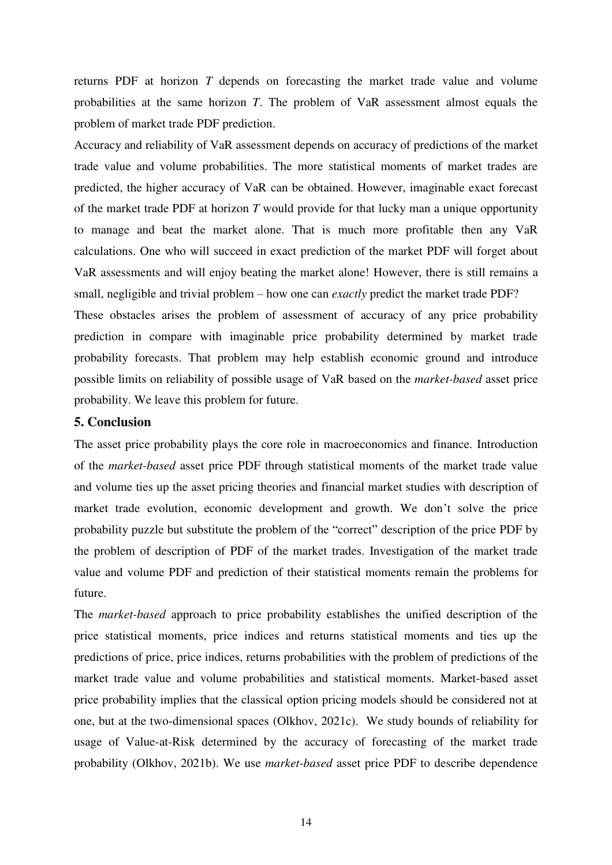returns PDF at horizon *T* depends on forecasting the market trade value and volume probabilities at the same horizon *T*. The problem of VaR assessment almost equals the problem of market trade PDF prediction.

Accuracy and reliability of VaR assessment depends on accuracy of predictions of the market trade value and volume probabilities. The more statistical moments of market trades are predicted, the higher accuracy of VaR can be obtained. However, imaginable exact forecast of the market trade PDF at horizon *T* would provide for that lucky man a unique opportunity to manage and beat the market alone. That is much more profitable then any VaR calculations. One who will succeed in exact prediction of the market PDF will forget about VaR assessments and will enjoy beating the market alone! However, there is still remains a small, negligible and trivial problem – how one can *exactly* predict the market trade PDF?

These obstacles arises the problem of assessment of accuracy of any price probability prediction in compare with imaginable price probability determined by market trade probability forecasts. That problem may help establish economic ground and introduce possible limits on reliability of possible usage of VaR based on the *market-based* asset price probability. We leave this problem for future.

# **5. Conclusion**

The asset price probability plays the core role in macroeconomics and finance. Introduction of the *market-based* asset price PDF through statistical moments of the market trade value and volume ties up the asset pricing theories and financial market studies with description of market trade evolution, economic development and growth. We don't solve the price probability puzzle but substitute the problem of the "correct" description of the price PDF by the problem of description of PDF of the market trades. Investigation of the market trade value and volume PDF and prediction of their statistical moments remain the problems for future.

The *market-based* approach to price probability establishes the unified description of the price statistical moments, price indices and returns statistical moments and ties up the predictions of price, price indices, returns probabilities with the problem of predictions of the market trade value and volume probabilities and statistical moments. Market-based asset price probability implies that the classical option pricing models should be considered not at one, but at the two-dimensional spaces (Olkhov, 2021c). We study bounds of reliability for usage of Value-at-Risk determined by the accuracy of forecasting of the market trade probability (Olkhov, 2021b). We use *market-based* asset price PDF to describe dependence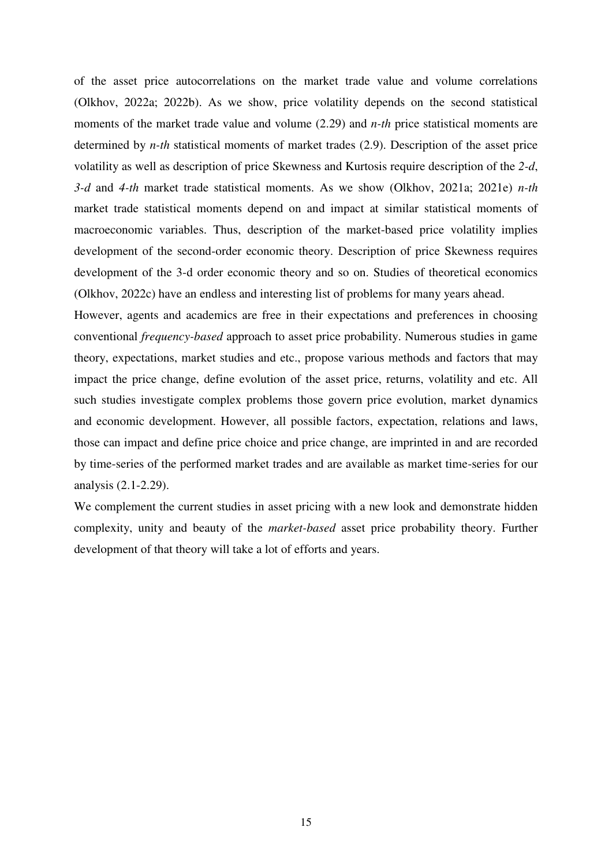of the asset price autocorrelations on the market trade value and volume correlations (Olkhov, 2022a; 2022b). As we show, price volatility depends on the second statistical moments of the market trade value and volume (2.29) and *n-th* price statistical moments are determined by *n-th* statistical moments of market trades (2.9). Description of the asset price volatility as well as description of price Skewness and Kurtosis require description of the *2-d*, *3-d* and *4-th* market trade statistical moments. As we show (Olkhov, 2021a; 2021e) *n-th* market trade statistical moments depend on and impact at similar statistical moments of macroeconomic variables. Thus, description of the market-based price volatility implies development of the second-order economic theory. Description of price Skewness requires development of the 3-d order economic theory and so on. Studies of theoretical economics (Olkhov, 2022c) have an endless and interesting list of problems for many years ahead.

However, agents and academics are free in their expectations and preferences in choosing conventional *frequency-based* approach to asset price probability. Numerous studies in game theory, expectations, market studies and etc., propose various methods and factors that may impact the price change, define evolution of the asset price, returns, volatility and etc. All such studies investigate complex problems those govern price evolution, market dynamics and economic development. However, all possible factors, expectation, relations and laws, those can impact and define price choice and price change, are imprinted in and are recorded by time-series of the performed market trades and are available as market time-series for our analysis (2.1-2.29).

We complement the current studies in asset pricing with a new look and demonstrate hidden complexity, unity and beauty of the *market-based* asset price probability theory. Further development of that theory will take a lot of efforts and years.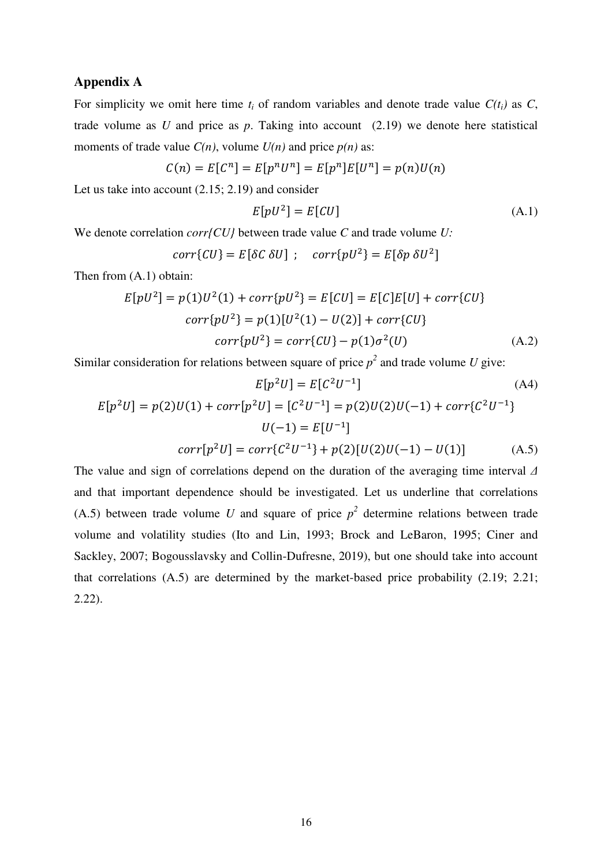# **Appendix A**

For simplicity we omit here time  $t_i$  of random variables and denote trade value  $C(t_i)$  as  $C$ , trade volume as *U* and price as *p*. Taking into account (2.19) we denote here statistical moments of trade value  $C(n)$ , volume  $U(n)$  and price  $p(n)$  as:

$$
C(n) = E[Cn] = E[pnUn] = E[pn]E[Un] = p(n)U(n)
$$

Let us take into account (2.15; 2.19) and consider

$$
E[pU^2] = E[CU] \tag{A.1}
$$

We denote correlation *corr{CU}* between trade value *C* and trade volume *U:*

$$
corr\{CU\} = E[\delta C \delta U]; \quad corr\{pU^2\} = E[\delta p \delta U^2]
$$

Then from (A.1) obtain:

$$
E[pU2] = p(1)U2(1) + corr{pU2} = E[CU] = E[C]E[U] + corr{CU}corr{pU2} = p(1)[U2(1) – U(2)] + corr{CU}corr{pU2} = corr{CU} - p(1)\sigma2(U)
$$
 (A.2)

Similar consideration for relations between square of price  $p^2$  and trade volume *U* give:

$$
E[p^2U] = E[C^2U^{-1}] \tag{A4}
$$
  
\n
$$
E[p^2U] = p(2)U(1) + corr[p^2U] = [C^2U^{-1}] = p(2)U(2)U(-1) + corr\{C^2U^{-1}\}
$$
  
\n
$$
U(-1) = E[U^{-1}]
$$
  
\n
$$
corr[p^2U] = corr\{C^2U^{-1}\} + p(2)[U(2)U(-1) - U(1)] \tag{A.5}
$$

The value and sign of correlations depend on the duration of the averaging time interval *Δ* and that important dependence should be investigated. Let us underline that correlations (A.5) between trade volume *U* and square of price  $p^2$  determine relations between trade volume and volatility studies (Ito and Lin, 1993; Brock and LeBaron, 1995; Ciner and Sackley, 2007; Bogousslavsky and Collin-Dufresne, 2019), but one should take into account that correlations (A.5) are determined by the market-based price probability (2.19; 2.21; 2.22).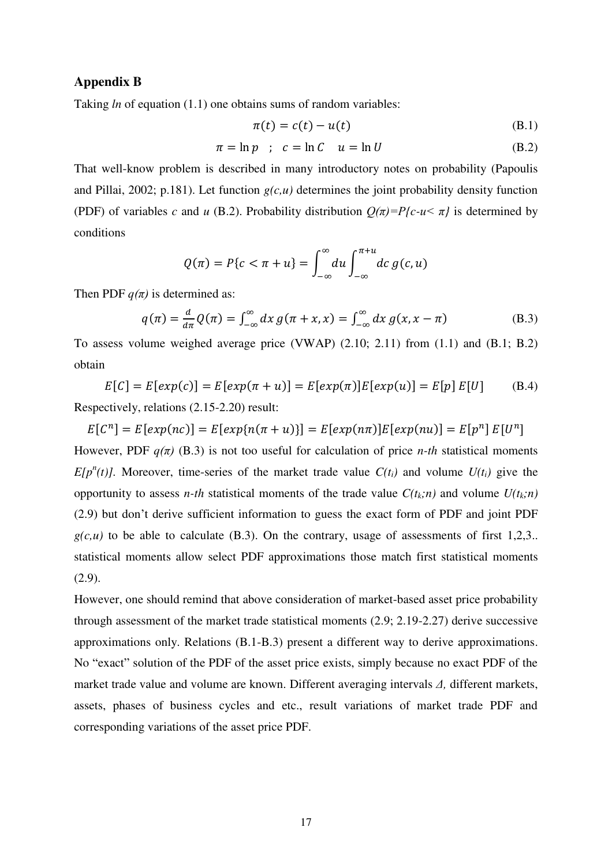# **Appendix B**

Taking *ln* of equation (1.1) one obtains sums of random variables:

$$
\pi(t) = c(t) - u(t) \tag{B.1}
$$

$$
\pi = \ln p \quad ; \quad c = \ln C \quad u = \ln U \tag{B.2}
$$

That well-know problem is described in many introductory notes on probability (Papoulis and Pillai, 2002; p.181). Let function  $g(c, u)$  determines the joint probability density function (PDF) of variables *c* and *u* (B.2). Probability distribution  $Q(\pi) = P\{c - u \le \pi\}$  is determined by conditions

$$
Q(\pi) = P\{c < \pi + u\} = \int_{-\infty}^{\infty} du \int_{-\infty}^{\pi + u} dc \, g(c, u)
$$

Then PDF  $q(\pi)$  is determined as:

$$
q(\pi) = \frac{d}{d\pi}Q(\pi) = \int_{-\infty}^{\infty} dx g(\pi + x, x) = \int_{-\infty}^{\infty} dx g(x, x - \pi)
$$
 (B.3)

To assess volume weighed average price (VWAP) (2.10; 2.11) from (1.1) and (B.1; B.2) obtain

 $E[C] = E[exp(c)] = E[exp(\pi + u)] = E[exp(\pi)]E[exp(u)] = E[p]E[U]$  (B.4) Respectively, relations (2.15-2.20) result:

 $E[C^{n}] = E[exp(nc)] = E[exp{n(\pi + u)}] = E[exp(n\pi)]E[exp(nu)] = E[p^{n}] E[U^{n}]$ However, PDF  $q(\pi)$  (B.3) is not too useful for calculation of price *n-th* statistical moments *E*[ $p^n(t)$ ]. Moreover, time-series of the market trade value  $C(t_i)$  and volume  $U(t_i)$  give the opportunity to assess *n-th* statistical moments of the trade value  $C(t_k; n)$  and volume  $U(t_k; n)$ (2.9) but don't derive sufficient information to guess the exact form of PDF and joint PDF  $g(c, u)$  to be able to calculate (B.3). On the contrary, usage of assessments of first 1,2,3.. statistical moments allow select PDF approximations those match first statistical moments (2.9).

However, one should remind that above consideration of market-based asset price probability through assessment of the market trade statistical moments (2.9; 2.19-2.27) derive successive approximations only. Relations (B.1-B.3) present a different way to derive approximations. No "exact" solution of the PDF of the asset price exists, simply because no exact PDF of the market trade value and volume are known. Different averaging intervals *Δ,* different markets, assets, phases of business cycles and etc., result variations of market trade PDF and corresponding variations of the asset price PDF.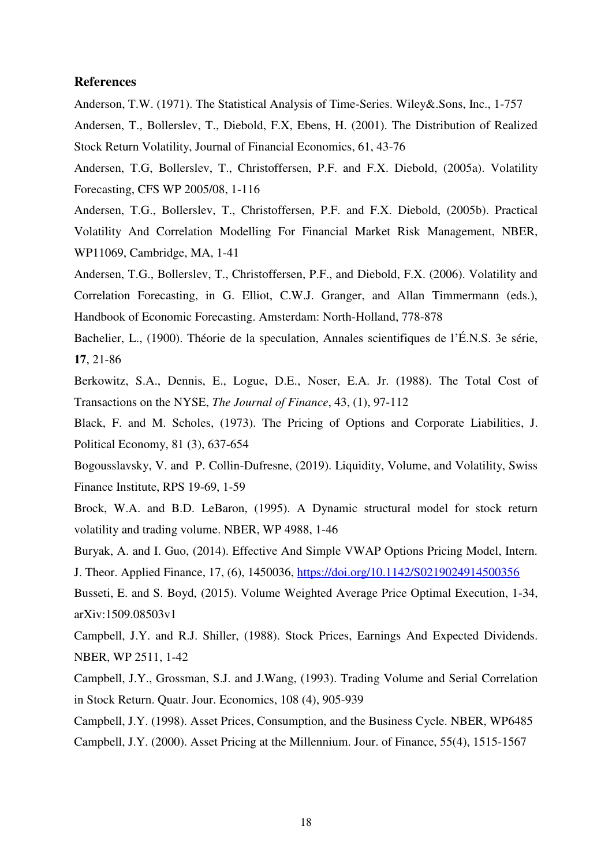## **References**

Anderson, T.W. (1971). The Statistical Analysis of Time-Series. Wiley&.Sons, Inc., 1-757

Andersen, T., Bollerslev, T., Diebold, F.X, Ebens, H. (2001). The Distribution of Realized Stock Return Volatility, Journal of Financial Economics, 61, 43-76

Andersen, T.G, Bollerslev, T., Christoffersen, P.F. and F.X. Diebold, (2005a). Volatility Forecasting, CFS WP 2005/08, 1-116

Andersen, T.G., Bollerslev, T., Christoffersen, P.F. and F.X. Diebold, (2005b). Practical Volatility And Correlation Modelling For Financial Market Risk Management, NBER, WP11069, Cambridge, MA, 1-41

Andersen, T.G., Bollerslev, T., Christoffersen, P.F., and Diebold, F.X. (2006). Volatility and Correlation Forecasting, in G. Elliot, C.W.J. Granger, and Allan Timmermann (eds.), Handbook of Economic Forecasting. Amsterdam: North-Holland, 778-878

Bachelier, L., (1900). Théorie de la speculation, Annales scientifiques de l'É.N.S. 3e série, **17**, 21-86

Berkowitz, S.A., Dennis, E., Logue, D.E., Noser, E.A. Jr. (1988). The Total Cost of Transactions on the NYSE, *The Journal of Finance*, 43, (1), 97-112

Black, F. and M. Scholes, (1973). The Pricing of Options and Corporate Liabilities, J. Political Economy, 81 (3), 637-654

Bogousslavsky, V. and P. Collin-Dufresne, (2019). Liquidity, Volume, and Volatility, Swiss Finance Institute, RPS 19-69, 1-59

Brock, W.A. and B.D. LeBaron, (1995). A Dynamic structural model for stock return volatility and trading volume. NBER, WP 4988, 1-46

Buryak, A. and I. Guo, (2014). Effective And Simple VWAP Options Pricing Model, Intern.

J. Theor. Applied Finance, 17, (6), 1450036,<https://doi.org/10.1142/S0219024914500356>

Busseti, E. and S. Boyd, (2015). Volume Weighted Average Price Optimal Execution, 1-34, arXiv:1509.08503v1

Campbell, J.Y. and R.J. Shiller, (1988). Stock Prices, Earnings And Expected Dividends. NBER, WP 2511, 1-42

Campbell, J.Y., Grossman, S.J. and J.Wang, (1993). Trading Volume and Serial Correlation in Stock Return. Quatr. Jour. Economics, 108 (4), 905-939

Campbell, J.Y. (1998). Asset Prices, Consumption, and the Business Cycle. NBER, WP6485 Campbell, J.Y. (2000). Asset Pricing at the Millennium. Jour. of Finance, 55(4), 1515-1567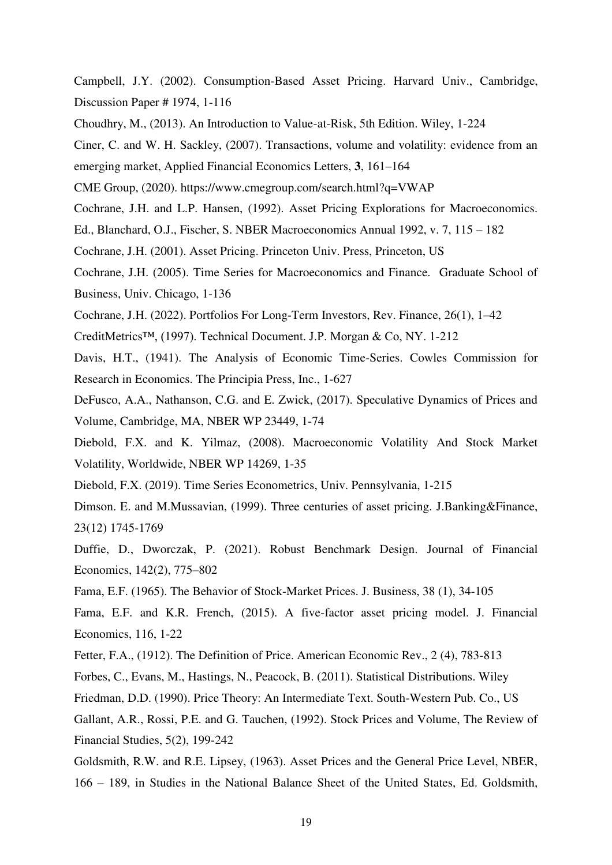Campbell, J.Y. (2002). Consumption-Based Asset Pricing. Harvard Univ., Cambridge, Discussion Paper # 1974, 1-116

Choudhry, M., (2013). An Introduction to Value-at-Risk, 5th Edition. Wiley, 1-224

Ciner, C. and W. H. Sackley, (2007). Transactions, volume and volatility: evidence from an emerging market, Applied Financial Economics Letters, **3**, 161–164

CME Group, (2020). https://www.cmegroup.com/search.html?q=VWAP

Cochrane, J.H. and L.P. Hansen, (1992). Asset Pricing Explorations for Macroeconomics.

Ed., Blanchard, O.J., Fischer, S. NBER Macroeconomics Annual 1992, v. 7, 115 – 182

Cochrane, J.H. (2001). Asset Pricing. Princeton Univ. Press, Princeton, US

Cochrane, J.H. (2005). Time Series for Macroeconomics and Finance. Graduate School of Business, Univ. Chicago, 1-136

Cochrane, J.H. (2022). Portfolios For Long-Term Investors, Rev. Finance, 26(1), 1–42

CreditMetrics™, (1997). Technical Document. J.P. Morgan & Co, NY. 1-212

Davis, H.T., (1941). The Analysis of Economic Time-Series. Cowles Commission for Research in Economics. The Principia Press, Inc., 1-627

DeFusco, A.A., Nathanson, C.G. and E. Zwick, (2017). Speculative Dynamics of Prices and Volume, Cambridge, MA, NBER WP 23449, 1-74

Diebold, F.X. and K. Yilmaz, (2008). Macroeconomic Volatility And Stock Market Volatility, Worldwide, NBER WP 14269, 1-35

Diebold, F.X. (2019). Time Series Econometrics, Univ. Pennsylvania, 1-215

Dimson. E. and M.Mussavian, (1999). Three centuries of asset pricing. J.Banking&Finance, 23(12) 1745-1769

Duffie, D., Dworczak, P. (2021). Robust Benchmark Design. Journal of Financial Economics, 142(2), 775–802

Fama, E.F. (1965). The Behavior of Stock-Market Prices. J. Business, 38 (1), 34-105

Fama, E.F. and K.R. French, (2015). A five-factor asset pricing model. J. Financial Economics, 116, 1-22

Fetter, F.A., (1912). The Definition of Price. American Economic Rev., 2 (4), 783-813

Forbes, C., Evans, M., Hastings, N., Peacock, B. (2011). Statistical Distributions. Wiley

Friedman, D.D. (1990). Price Theory: An Intermediate Text. South-Western Pub. Co., US

Gallant, A.R., Rossi, P.E. and G. Tauchen, (1992). Stock Prices and Volume, The Review of Financial Studies, 5(2), 199-242

Goldsmith, R.W. and R.E. Lipsey, (1963). Asset Prices and the General Price Level, NBER, 166 – 189, in Studies in the National Balance Sheet of the United States, Ed. Goldsmith,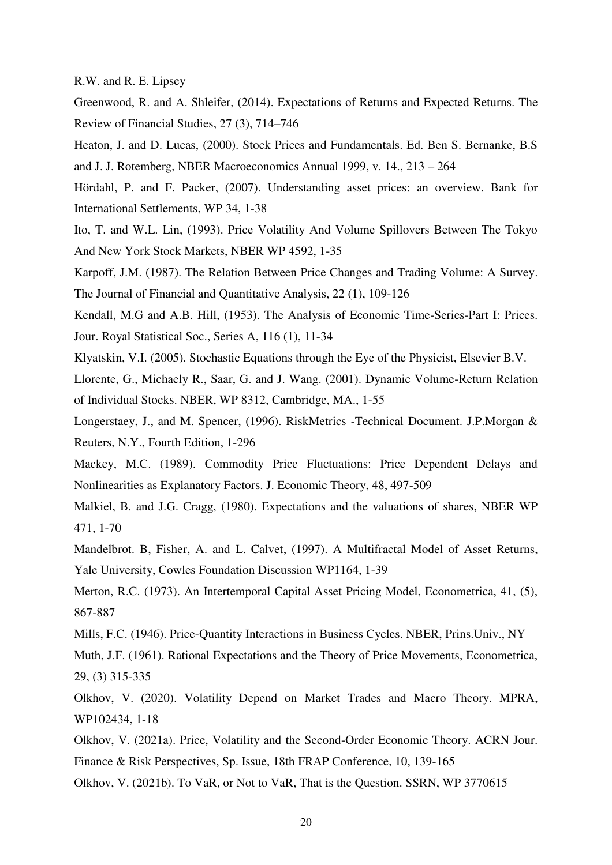R.W. and R. E. Lipsey

Greenwood, R. and A. Shleifer, (2014). Expectations of Returns and Expected Returns. The Review of Financial Studies, 27 (3), 714–746

Heaton, J. and D. Lucas, (2000). Stock Prices and Fundamentals. Ed. Ben S. Bernanke, B.S and J. J. Rotemberg, NBER Macroeconomics Annual 1999, v. 14., 213 – 264

Hördahl, P. and F. Packer, (2007). Understanding asset prices: an overview. Bank for International Settlements, WP 34, 1-38

Ito, T. and W.L. Lin, (1993). Price Volatility And Volume Spillovers Between The Tokyo And New York Stock Markets, NBER WP 4592, 1-35

Karpoff, J.M. (1987). The Relation Between Price Changes and Trading Volume: A Survey. The Journal of Financial and Quantitative Analysis, 22 (1), 109-126

Kendall, M.G and A.B. Hill, (1953). The Analysis of Economic Time-Series-Part I: Prices. Jour. Royal Statistical Soc., Series A, 116 (1), 11-34

Klyatskin, V.I. (2005). Stochastic Equations through the Eye of the Physicist, Elsevier B.V.

Llorente, G., Michaely R., Saar, G. and J. Wang. (2001). Dynamic Volume-Return Relation of Individual Stocks. NBER, WP 8312, Cambridge, MA., 1-55

Longerstaey, J., and M. Spencer, (1996). RiskMetrics -Technical Document. J.P.Morgan & Reuters, N.Y., Fourth Edition, 1-296

Mackey, M.C. (1989). Commodity Price Fluctuations: Price Dependent Delays and Nonlinearities as Explanatory Factors. J. Economic Theory, 48, 497-509

Malkiel, B. and J.G. Cragg, (1980). Expectations and the valuations of shares, NBER WP 471, 1-70

Mandelbrot. B, Fisher, A. and L. Calvet, (1997). A Multifractal Model of Asset Returns, Yale University, Cowles Foundation Discussion WP1164, 1-39

Merton, R.C. (1973). An Intertemporal Capital Asset Pricing Model, Econometrica, 41, (5), 867-887

Mills, F.C. (1946). Price-Quantity Interactions in Business Cycles. NBER, Prins.Univ., NY

Muth, J.F. (1961). Rational Expectations and the Theory of Price Movements, Econometrica, 29, (3) 315-335

Olkhov, V. (2020). Volatility Depend on Market Trades and Macro Theory. MPRA, WP102434, 1-18

Olkhov, V. (2021a). Price, Volatility and the Second-Order Economic Theory. ACRN Jour. Finance & Risk Perspectives, Sp. Issue, 18th FRAP Conference, 10, 139-165

Olkhov, V. (2021b). To VaR, or Not to VaR, That is the Question. SSRN, WP 3770615